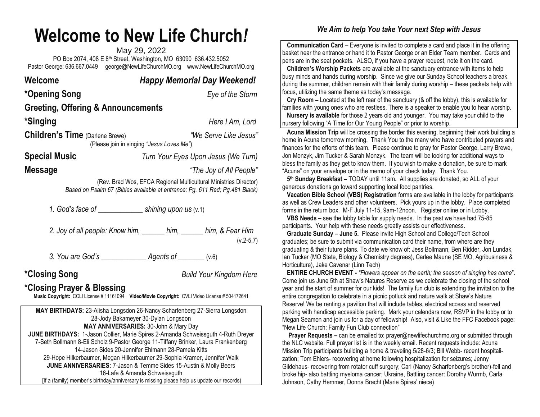## **Welcome to New Life Church***!*

May 29, 2022 PO Box 2074, 408 E 8th Street, Washington, MO 63090 636.432.5052 Pastor George: 636.667.0449 [george@NewLifeChurchMO.org](mailto:george@NewLifeChurchMO.org) [www.NewLifeChurchMO.org](http://www.newlifechurchmo.org/)

| Welcome                                | <b>Happy Memorial Day Weekend!</b>                                                                                                               |
|----------------------------------------|--------------------------------------------------------------------------------------------------------------------------------------------------|
| *Opening Song                          | Eye of the Storm                                                                                                                                 |
| Greeting, Offering & Announcements     |                                                                                                                                                  |
| *Singing                               | Here I Am, Lord                                                                                                                                  |
| <b>Children's Time</b> (Darlene Brewe) | "We Serve Like Jesus"<br>(Please join in singing "Jesus Loves Me")                                                                               |
| Special Music                          | Turn Your Eyes Upon Jesus (We Turn)                                                                                                              |
| Message                                | "The Joy of All People"                                                                                                                          |
|                                        | (Rev. Brad Wos, EFCA Regional Multicultural Ministries Director)<br>Based on Psalm 67 (Bibles available at entrance: Pg. 611 Red; Pg. 481 Black) |
|                                        |                                                                                                                                                  |
|                                        | 2. Joy of all people: Know him, ______ him, ______ him, & Fear Him<br>$(v.2-5,7)$                                                                |
|                                        |                                                                                                                                                  |
| *Closing Song                          | <b>Build Your Kingdom Here</b>                                                                                                                   |
| *Closing Praver & Blessing             |                                                                                                                                                  |

## **\*Closing Prayer & Blessing**

**Music Copyright:** CCLI License # 11161094 **Video/Movie Copyright:** CVLI Video License # 504172641

**MAY BIRTHDAYS:** 23-Alisha Longsdon 26-Nancy Scharfenberg 27-Sierra Longsdon 28-Jody Bakameyer 30-Dylan Longsdon **MAY ANNIVERSARIES:** 30-John & Mary Day **JUNE BIRTHDAYS:** 1-Jason Collier, Marie Spires 2-Amanda Schweissguth 4-Ruth Dreyer 7-Seth Bollmann 8-Eli Scholz 9-Pastor George 11-Tiffany Brinker, Laura Frankenberg 14-Jason Sides 20-Jennifer Ehlmann 28-Pamela Kitts 29-Hope Hilkerbaumer, Megan Hilkerbaumer 29-Sophia Kramer, Jennifer Walk **JUNE ANNIVERSARIES:** 7-Jason & Temme Sides 15-Austin & Molly Beers 16-Lafe & Amanda Schweissguth [If a (family) member's birthday/anniversary is missing please help us update our records)

## *We Aim to help You take Your next Step with Jesus*

 **Communication Card** – Everyone is invited to complete a card and place it in the offering basket near the entrance or hand it to Pastor George or an Elder Team member. Cards and pens are in the seat pockets. ALSO, if you have a prayer request, note it on the card.

 **Children's Worship Packets** are available at the sanctuary entrance with items to help busy minds and hands during worship. Since we give our Sunday School teachers a break during the summer, children remain with their family during worship – these packets help with focus, utilizing the same theme as today's message.

 **Cry Room –** Located at the left rear of the sanctuary (& off the lobby), this is available for families with young ones who are restless. There is a speaker to enable you to hear worship.

 **Nursery is available** for those 2 years old and younger. You may take your child to the nursery following "A Time for Our Young People" or prior to worship.

 **Acuna Mission Trip** will be crossing the border this evening, beginning their work building a home in Acuna tomorrow morning. Thank You to the many who have contributed prayers and finances for the efforts of this team. Please continue to pray for Pastor George, Larry Brewe, Jon Monzyk, Jim Tucker & Sarah Monzyk. The team will be looking for additional ways to bless the family as they get to know them. If you wish to make a donation, be sure to mark "Acuna" on your envelope or in the memo of your check today. Thank You.

 **5 th Sunday Breakfast –** TODAY until 11am**.** All supplies are donated, so ALL of your generous donations go toward supporting local food pantries.

 **Vacation Bible School (VBS) Registration** forms are available in the lobby for participants as well as Crew Leaders and other volunteers. Pick yours up in the lobby. Place completed forms in the return box. M-F July 11-15, 9am-12noon. Register online or in Lobby.

 **VBS Needs –** see the lobby table for supply needs. In the past we have had 75-85 participants. Your help with these needs greatly assists our effectiveness.

 **Graduate Sunday – June 5.** Please invite High School and College/Tech School graduates; be sure to submit via communication card their name, from where are they graduating & their future plans. To date we know of: Jess Bollmann, Ben Ridder, Jon Lundak, Ian Tucker (MO State, Biology & Chemistry degrees), Carlee Maune (SE MO, Agribusiness & Horticulture), Jake Cavenar (Linn Tech)

 **ENTIRE CHURCH EVENT -** *"Flowers appear on the earth; the season of singing has come*". Come join us June 5th at Shaw's Natures Reserve as we celebrate the closing of the school year and the start of summer for our kids! The family fun club is extending the invitation to the entire congregation to celebrate in a picnic potluck and nature walk at Shaw's Nature Reserve! We be renting a pavilion that will include tables, electrical access and reserved parking with handicap accessible parking. Mark your calendars now, RSVP in the lobby or to Megan Seamon and join us for a day of fellowship! Also, visit & Like the FFC Facebook page: "New Life Church: Family Fun Club connection"

**Prayer Requests –** can be emailed to: [prayer@newlifechurchmo.org](about:blank) or submitted through the NLC website. Full prayer list is in the weekly email. Recent requests include: Acuna Mission Trip participants building a home & traveling 5/28-6/3; Bill Webb- recent hospitalization; Tom Ehlers- recovering at home following hospitalization for seizures; Jenny Gildehaus- recovering from rotator cuff surgery; Carl (Nancy Scharfenberg's brother)-fell and broke hip- also battling myeloma cancer; Ukraine, Battling cancer: Dorothy Wurmb, Carla Johnson, Cathy Hemmer, Donna Bracht (Marie Spires' niece)